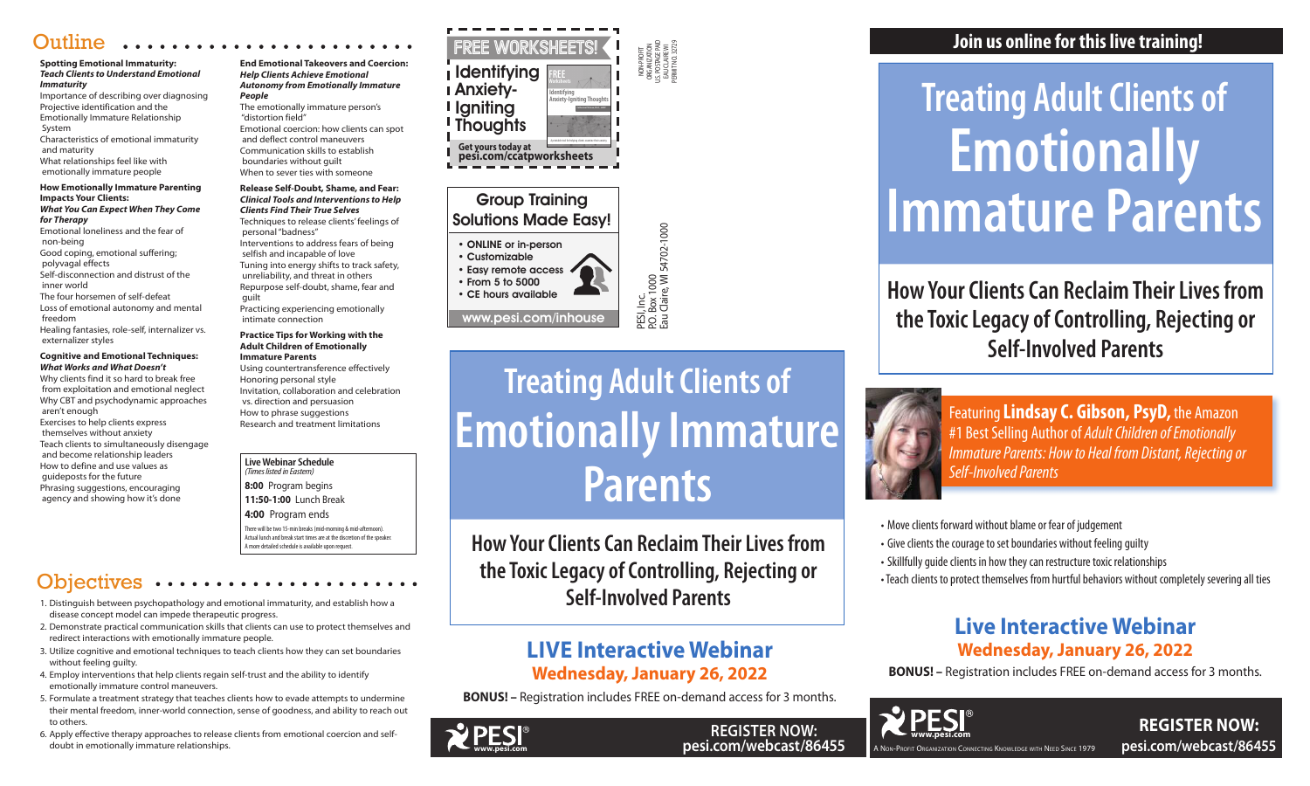NON-PROFIT ORGANIZATION U.S. POSTAGE PAID EAU CLAIRE WI PERMIT NO. 32729

P.O. Box 1000

Eau Claire, WI 54702-1000

# **LIVE Interactive Webinar Wednesday, January 26, 2022**

**BONUS! –** Registration includes FREE on-demand access for 3 months.

# **Live Interactive Webinar Wednesday, January 26, 2022**

**BONUS! –** Registration includes FREE on-demand access for 3 months.

# Group Training

# Solutions Made Easy!

- ONLINE or in-person
	-

PESI, Inc.<br>P.O. Box 1000<br>Eau Claire, Wl 54702-1000

- 
- Customizable

• Easy remote access • From 5 to 5000 • CE hours available www.pesi.com/inhouse

> **REGISTER NOW: pesi.com/webcast/86455**

**Live Webinar Schedule**  *(Times listed in Eastern)* **8:00** Program begins **11:50-1:00** Lunch Break **4:00** Program ends

There will be two 15-min breaks (mid-morning & mid-afternoon). Actual lunch and break start times are at the discretion of the speaker. A more detailed schedule is available upon request.

# **Objectives**

# **Join us online for this live training!**

A Non-Profit Organization Connecting Knowledge with Need Since 1979

• Move clients forward without blame or fear of judgement • Give clients the courage to set boundaries without feeling guilty • Skillfully guide clients in how they can restructure toxic relationships •Teach clients to protect themselves from hurtful behaviors without completely severing all ties

# **How Your Clients Can Reclaim Their Lives from the Toxic Legacy of Controlling, Rejecting or Self-Involved Parents**



# **Treating Adult Clients of Emotionally Immature Parents**

Featuring**Lindsay C. Gibson, PsyD,** the Amazon #1 Best Selling Author of *Adult Children of Emotionally Immature Parents: How to Heal from Distant, Rejecting or Self-Involved Parents*



**REGISTER NOW: pesi.com/webcast/86455**





- 
- 
- 
- 



**How Your Clients Can Reclaim Their Lives from the Toxic Legacy of Controlling, Rejecting or Self-Involved Parents**

**Treating Adult Clients of Emotionally Immature Parents**



# **Outline**

#### **Spotting Emotional Immaturity:**  *Teach Clients to Understand Emotional Immaturity*

Importance of describing over diagnosing Projective identification and the Emotionally Immature Relationship System

Characteristics of emotional immaturity and maturity

What relationships feel like with emotionally immature people

#### **How Emotionally Immature Parenting Impacts Your Clients:**

#### *What You Can Expect When They Come for Therapy*

Emotional loneliness and the fear of non-being

Good coping, emotional suffering;

 polyvagal effects Self-disconnection and distrust of the inner world

The four horsemen of self-defeat

Loss of emotional autonomy and mental freedom

Healing fantasies, role-self, internalizer vs. externalizer styles

#### **Cognitive and Emotional Techniques:** *What Works and What Doesn't*

Why clients find it so hard to break free from exploitation and emotional neglect Why CBT and psychodynamic approaches aren't enough

Exercises to help clients express themselves without anxiety Teach clients to simultaneously disengage and become relationship leaders How to define and use values as guideposts for the future Phrasing suggestions, encouraging agency and showing how it's done

**End Emotional Takeovers and Coercion:** *Help Clients Achieve Emotional Autonomy from Emotionally Immature People*

The emotionally immature person's "distortion field"

Emotional coercion: how clients can spot and deflect control maneuvers Communication skills to establish boundaries without guilt When to sever ties with someone

#### **Release Self-Doubt, Shame, and Fear:** *Clinical Tools and Interventions to Help Clients Find Their True Selves*

Techniques to release clients' feelings of personal "badness"

Interventions to address fears of being selfish and incapable of love

Tuning into energy shifts to track safety, unreliability, and threat in others Repurpose self-doubt, shame, fear and guilt

Practicing experiencing emotionally intimate connection

#### **Practice Tips for Working with the Adult Children of Emotionally Immature Parents**

Using countertransference effectively Honoring personal style Invitation, collaboration and celebration vs. direction and persuasion How to phrase suggestions Research and treatment limitations

- 1. Distinguish between psychopathology and emotional immaturity, and establish how a disease concept model can impede therapeutic progress.
- 2. Demonstrate practical communication skills that clients can use to protect themselves and redirect interactions with emotionally immature people.
- 3. Utilize cognitive and emotional techniques to teach clients how they can set boundaries without feeling guilty.
- 4. Employ interventions that help clients regain self-trust and the ability to identify emotionally immature control maneuvers.
- 5. Formulate a treatment strategy that teaches clients how to evade attempts to undermine their mental freedom, inner-world connection, sense of goodness, and ability to reach out to others.
- 6. Apply effective therapy approaches to release clients from emotional coercion and selfdoubt in emotionally immature relationships.